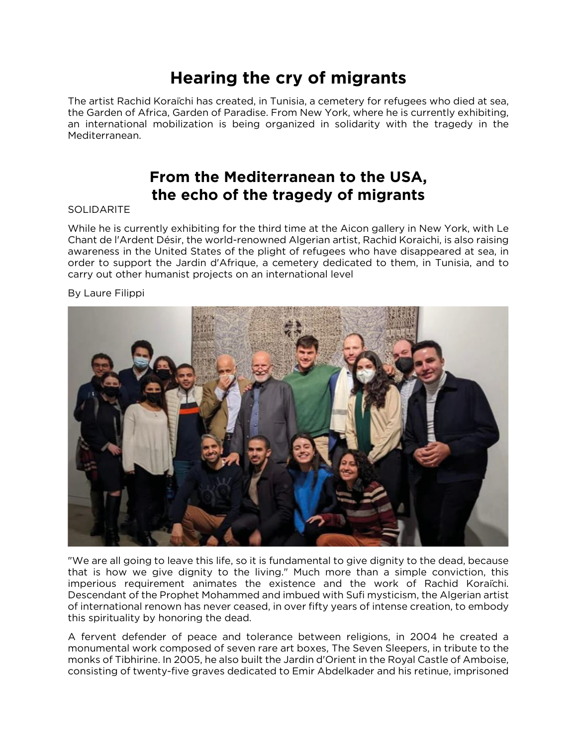# **Hearing the cry of migrants**

The artist Rachid Koraïchi has created, in Tunisia, a cemetery for refugees who died at sea, the Garden of Africa, Garden of Paradise. From New York, where he is currently exhibiting, an international mobilization is being organized in solidarity with the tragedy in the Mediterranean.

## **From the Mediterranean to the USA, the echo of the tragedy of migrants**

### SOLIDARITE

While he is currently exhibiting for the third time at the Aicon gallery in New York, with Le Chant de l'Ardent Désir, the world-renowned Algerian artist, Rachid Koraichi, is also raising awareness in the United States of the plight of refugees who have disappeared at sea, in order to support the Jardin d'Afrique, a cemetery dedicated to them, in Tunisia, and to carry out other humanist projects on an international level

### By Laure Filippi



"We are all going to leave this life, so it is fundamental to give dignity to the dead, because that is how we give dignity to the living." Much more than a simple conviction, this imperious requirement animates the existence and the work of Rachid Koraïchi. Descendant of the Prophet Mohammed and imbued with Sufi mysticism, the Algerian artist of international renown has never ceased, in over fifty years of intense creation, to embody this spirituality by honoring the dead.

A fervent defender of peace and tolerance between religions, in 2004 he created a monumental work composed of seven rare art boxes, The Seven Sleepers, in tribute to the monks of Tibhirine. In 2005, he also built the Jardin d'Orient in the Royal Castle of Amboise, consisting of twenty-five graves dedicated to Emir Abdelkader and his retinue, imprisoned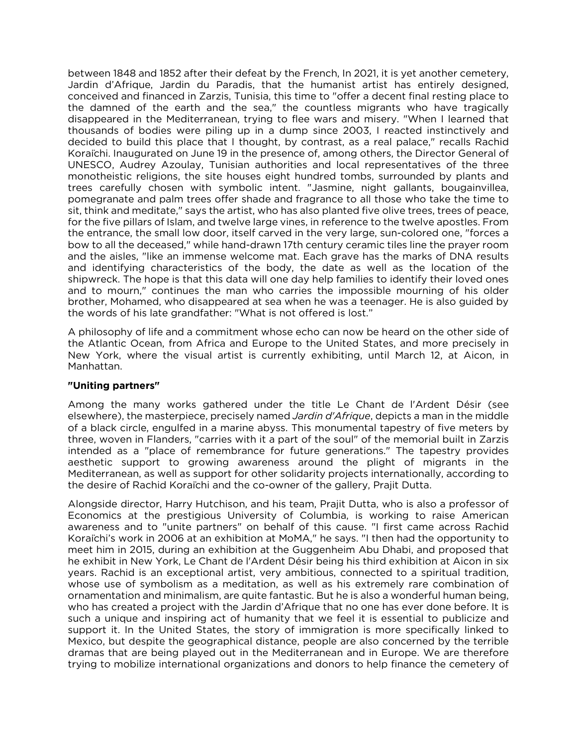between 1848 and 1852 after their defeat by the French, In 2021, it is yet another cemetery, Jardin d'Afrique, Jardin du Paradis, that the humanist artist has entirely designed, conceived and financed in Zarzis, Tunisia, this time to "offer a decent final resting place to the damned of the earth and the sea," the countless migrants who have tragically disappeared in the Mediterranean, trying to flee wars and misery. "When I learned that thousands of bodies were piling up in a dump since 2003, I reacted instinctively and decided to build this place that I thought, by contrast, as a real palace," recalls Rachid Koraïchi. Inaugurated on June 19 in the presence of, among others, the Director General of UNESCO, Audrey Azoulay, Tunisian authorities and local representatives of the three monotheistic religions, the site houses eight hundred tombs, surrounded by plants and trees carefully chosen with symbolic intent. "Jasmine, night gallants, bougainvillea, pomegranate and palm trees offer shade and fragrance to all those who take the time to sit, think and meditate," says the artist, who has also planted five olive trees, trees of peace, for the five pillars of Islam, and twelve large vines, in reference to the twelve apostles. From the entrance, the small low door, itself carved in the very large, sun-colored one, "forces a bow to all the deceased," while hand-drawn 17th century ceramic tiles line the prayer room and the aisles, "like an immense welcome mat. Each grave has the marks of DNA results and identifying characteristics of the body, the date as well as the location of the shipwreck. The hope is that this data will one day help families to identify their loved ones and to mourn," continues the man who carries the impossible mourning of his older brother, Mohamed, who disappeared at sea when he was a teenager. He is also guided by the words of his late grandfather: "What is not offered is lost."

A philosophy of life and a commitment whose echo can now be heard on the other side of the Atlantic Ocean, from Africa and Europe to the United States, and more precisely in New York, where the visual artist is currently exhibiting, until March 12, at Aicon, in Manhattan.

#### **"Uniting partners"**

Among the many works gathered under the title Le Chant de l'Ardent Désir (see elsewhere), the masterpiece, precisely named *Jardin d'Afrique*, depicts a man in the middle of a black circle, engulfed in a marine abyss. This monumental tapestry of five meters by three, woven in Flanders, "carries with it a part of the soul" of the memorial built in Zarzis intended as a "place of remembrance for future generations." The tapestry provides aesthetic support to growing awareness around the plight of migrants in the Mediterranean, as well as support for other solidarity projects internationally, according to the desire of Rachid Koraïchi and the co-owner of the gallery, Prajit Dutta.

Alongside director, Harry Hutchison, and his team, Prajit Dutta, who is also a professor of Economics at the prestigious University of Columbia, is working to raise American awareness and to "unite partners" on behalf of this cause. "I first came across Rachid Koraïchi's work in 2006 at an exhibition at MoMA," he says. "I then had the opportunity to meet him in 2015, during an exhibition at the Guggenheim Abu Dhabi, and proposed that he exhibit in New York, Le Chant de l'Ardent Désir being his third exhibition at Aicon in six years. Rachid is an exceptional artist, very ambitious, connected to a spiritual tradition, whose use of symbolism as a meditation, as well as his extremely rare combination of ornamentation and minimalism, are quite fantastic. But he is also a wonderful human being, who has created a project with the Jardin d'Afrique that no one has ever done before. It is such a unique and inspiring act of humanity that we feel it is essential to publicize and support it. In the United States, the story of immigration is more specifically linked to Mexico, but despite the geographical distance, people are also concerned by the terrible dramas that are being played out in the Mediterranean and in Europe. We are therefore trying to mobilize international organizations and donors to help finance the cemetery of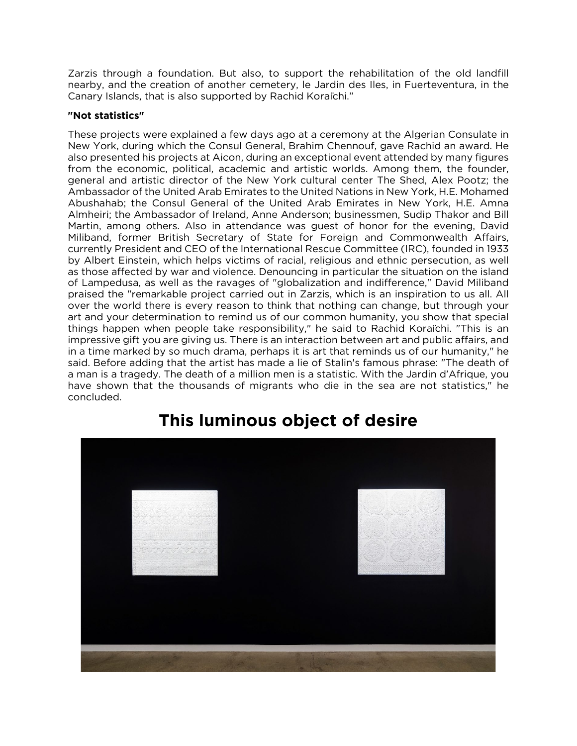Zarzis through a foundation. But also, to support the rehabilitation of the old landfill nearby, and the creation of another cemetery, le Jardin des Iles, in Fuerteventura, in the Canary Islands, that is also supported by Rachid Koraïchi."

#### **"Not statistics"**

These projects were explained a few days ago at a ceremony at the Algerian Consulate in New York, during which the Consul General, Brahim Chennouf, gave Rachid an award. He also presented his projects at Aicon, during an exceptional event attended by many figures from the economic, political, academic and artistic worlds. Among them, the founder, general and artistic director of the New York cultural center The Shed, Alex Pootz; the Ambassador of the United Arab Emirates to the United Nations in New York, H.E. Mohamed Abushahab; the Consul General of the United Arab Emirates in New York, H.E. Amna Almheiri; the Ambassador of Ireland, Anne Anderson; businessmen, Sudip Thakor and Bill Martin, among others. Also in attendance was guest of honor for the evening, David Miliband, former British Secretary of State for Foreign and Commonwealth Affairs, currently President and CEO of the International Rescue Committee (IRC), founded in 1933 by Albert Einstein, which helps victims of racial, religious and ethnic persecution, as well as those affected by war and violence. Denouncing in particular the situation on the island of Lampedusa, as well as the ravages of "globalization and indifference," David Miliband praised the "remarkable project carried out in Zarzis, which is an inspiration to us all. All over the world there is every reason to think that nothing can change, but through your art and your determination to remind us of our common humanity, you show that special things happen when people take responsibility," he said to Rachid Koraïchi. "This is an impressive gift you are giving us. There is an interaction between art and public affairs, and in a time marked by so much drama, perhaps it is art that reminds us of our humanity," he said. Before adding that the artist has made a lie of Stalin's famous phrase: "The death of a man is a tragedy. The death of a million men is a statistic. With the Jardin d'Afrique, you have shown that the thousands of migrants who die in the sea are not statistics," he concluded.



# **This luminous object of desire**